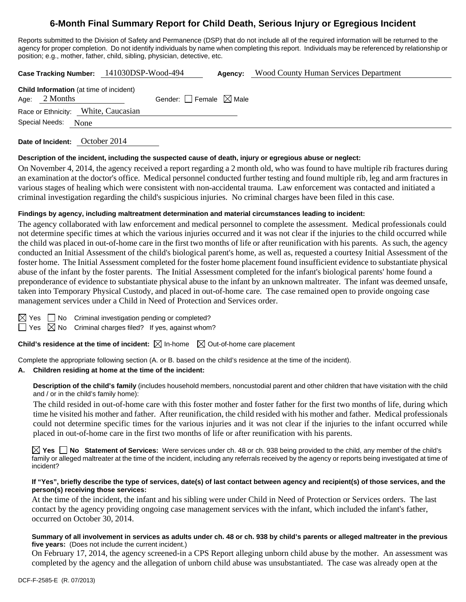# **6-Month Final Summary Report for Child Death, Serious Injury or Egregious Incident**

Reports submitted to the Division of Safety and Permanence (DSP) that do not include all of the required information will be returned to the agency for proper completion. Do not identify individuals by name when completing this report. Individuals may be referenced by relationship or position; e.g., mother, father, child, sibling, physician, detective, etc.

**Case Tracking Number:** 141030DSP-Wood-494 **Agency:** Wood County Human Services Department

**Date of Incident:** October 2014

#### **Description of the incident, including the suspected cause of death, injury or egregious abuse or neglect:**

On November 4, 2014, the agency received a report regarding a 2 month old, who was found to have multiple rib fractures during an examination at the doctor's office. Medical personnel conducted further testing and found multiple rib, leg and arm fractures in various stages of healing which were consistent with non-accidental trauma. Law enforcement was contacted and initiated a criminal investigation regarding the child's suspicious injuries. No criminal charges have been filed in this case.

### **Findings by agency, including maltreatment determination and material circumstances leading to incident:**

The agency collaborated with law enforcement and medical personnel to complete the assessment. Medical professionals could not determine specific times at which the various injuries occurred and it was not clear if the injuries to the child occurred while the child was placed in out-of-home care in the first two months of life or after reunification with his parents. As such, the agency conducted an Initial Assessment of the child's biological parent's home, as well as, requested a courtesy Initial Assessment of the foster home. The Initial Assessment completed for the foster home placement found insufficient evidence to substantiate physical abuse of the infant by the foster parents. The Initial Assessment completed for the infant's biological parents' home found a preponderance of evidence to substantiate physical abuse to the infant by an unknown maltreater. The infant was deemed unsafe, taken into Temporary Physical Custody, and placed in out-of-home care. The case remained open to provide ongoing case management services under a Child in Need of Protection and Services order.

 $\Box$  No Criminal investigation pending or completed?

 $\Box$  Yes  $\boxtimes$  No Criminal charges filed? If yes, against whom?

**Child's residence at the time of incident:**  $\boxtimes$  In-home  $\boxtimes$  Out-of-home care placement

Complete the appropriate following section (A. or B. based on the child's residence at the time of the incident).

#### **A. Children residing at home at the time of the incident:**

**Description of the child's family** (includes household members, noncustodial parent and other children that have visitation with the child and / or in the child's family home):

 The child resided in out-of-home care with this foster mother and foster father for the first two months of life, during which time he visited his mother and father. After reunification, the child resided with his mother and father. Medical professionals could not determine specific times for the various injuries and it was not clear if the injuries to the infant occurred while placed in out-of-home care in the first two months of life or after reunification with his parents.

**Yes No Statement of Services:** Were services under ch. 48 or ch. 938 being provided to the child, any member of the child's family or alleged maltreater at the time of the incident, including any referrals received by the agency or reports being investigated at time of incident?

#### **If "Yes", briefly describe the type of services, date(s) of last contact between agency and recipient(s) of those services, and the person(s) receiving those services:**

At the time of the incident, the infant and his sibling were under Child in Need of Protection or Services orders. The last contact by the agency providing ongoing case management services with the infant, which included the infant's father, occurred on October 30, 2014.

#### **Summary of all involvement in services as adults under ch. 48 or ch. 938 by child's parents or alleged maltreater in the previous five years:** (Does not include the current incident.)

On February 17, 2014, the agency screened-in a CPS Report alleging unborn child abuse by the mother. An assessment was completed by the agency and the allegation of unborn child abuse was unsubstantiated. The case was already open at the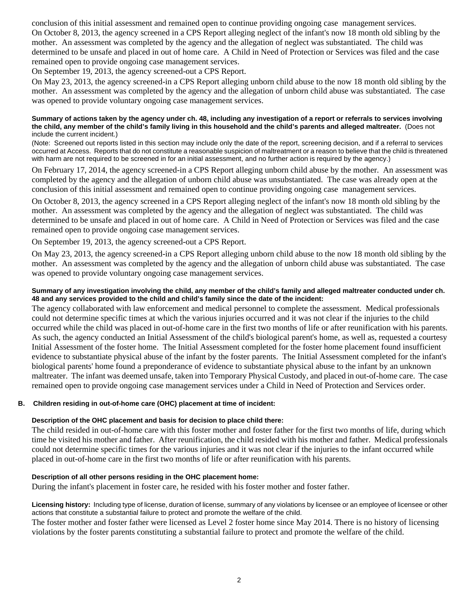conclusion of this initial assessment and remained open to continue providing ongoing case management services. On October 8, 2013, the agency screened in a CPS Report alleging neglect of the infant's now 18 month old sibling by the mother. An assessment was completed by the agency and the allegation of neglect was substantiated. The child was determined to be unsafe and placed in out of home care. A Child in Need of Protection or Services was filed and the case remained open to provide ongoing case management services.

On September 19, 2013, the agency screened-out a CPS Report.

On May 23, 2013, the agency screened-in a CPS Report alleging unborn child abuse to the now 18 month old sibling by the mother. An assessment was completed by the agency and the allegation of unborn child abuse was substantiated. The case was opened to provide voluntary ongoing case management services.

#### **Summary of actions taken by the agency under ch. 48, including any investigation of a report or referrals to services involving the child, any member of the child's family living in this household and the child's parents and alleged maltreater.** (Does not include the current incident.)

(Note: Screened out reports listed in this section may include only the date of the report, screening decision, and if a referral to services occurred at Access. Reports that do not constitute a reasonable suspicion of maltreatment or a reason to believe that the child is threatened with harm are not required to be screened in for an initial assessment, and no further action is required by the agency.)

On February 17, 2014, the agency screened-in a CPS Report alleging unborn child abuse by the mother. An assessment was completed by the agency and the allegation of unborn child abuse was unsubstantiated. The case was already open at the conclusion of this initial assessment and remained open to continue providing ongoing case management services.

On October 8, 2013, the agency screened in a CPS Report alleging neglect of the infant's now 18 month old sibling by the mother. An assessment was completed by the agency and the allegation of neglect was substantiated. The child was determined to be unsafe and placed in out of home care. A Child in Need of Protection or Services was filed and the case remained open to provide ongoing case management services.

On September 19, 2013, the agency screened-out a CPS Report.

On May 23, 2013, the agency screened-in a CPS Report alleging unborn child abuse to the now 18 month old sibling by the mother. An assessment was completed by the agency and the allegation of unborn child abuse was substantiated. The case was opened to provide voluntary ongoing case management services.

#### **Summary of any investigation involving the child, any member of the child's family and alleged maltreater conducted under ch. 48 and any services provided to the child and child's family since the date of the incident:**

The agency collaborated with law enforcement and medical personnel to complete the assessment. Medical professionals could not determine specific times at which the various injuries occurred and it was not clear if the injuries to the child occurred while the child was placed in out-of-home care in the first two months of life or after reunification with his parents. As such, the agency conducted an Initial Assessment of the child's biological parent's home, as well as, requested a courtesy Initial Assessment of the foster home. The Initial Assessment completed for the foster home placement found insufficient evidence to substantiate physical abuse of the infant by the foster parents. The Initial Assessment completed for the infant's biological parents' home found a preponderance of evidence to substantiate physical abuse to the infant by an unknown maltreater. The infant was deemed unsafe, taken into Temporary Physical Custody, and placed in out-of-home care. The case remained open to provide ongoing case management services under a Child in Need of Protection and Services order.

## **B. Children residing in out-of-home care (OHC) placement at time of incident:**

## **Description of the OHC placement and basis for decision to place child there:**

The child resided in out-of-home care with this foster mother and foster father for the first two months of life, during which time he visited his mother and father. After reunification, the child resided with his mother and father. Medical professionals could not determine specific times for the various injuries and it was not clear if the injuries to the infant occurred while placed in out-of-home care in the first two months of life or after reunification with his parents.

#### **Description of all other persons residing in the OHC placement home:**

During the infant's placement in foster care, he resided with his foster mother and foster father.

**Licensing history:** Including type of license, duration of license, summary of any violations by licensee or an employee of licensee or other actions that constitute a substantial failure to protect and promote the welfare of the child.

The foster mother and foster father were licensed as Level 2 foster home since May 2014. There is no history of licensing violations by the foster parents constituting a substantial failure to protect and promote the welfare of the child.